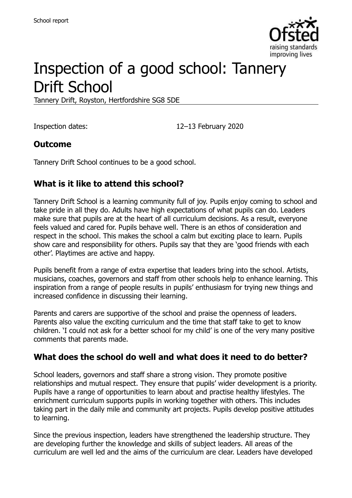

# Inspection of a good school: Tannery Drift School

Tannery Drift, Royston, Hertfordshire SG8 5DE

Inspection dates: 12–13 February 2020

### **Outcome**

Tannery Drift School continues to be a good school.

## **What is it like to attend this school?**

Tannery Drift School is a learning community full of joy. Pupils enjoy coming to school and take pride in all they do. Adults have high expectations of what pupils can do. Leaders make sure that pupils are at the heart of all curriculum decisions. As a result, everyone feels valued and cared for. Pupils behave well. There is an ethos of consideration and respect in the school. This makes the school a calm but exciting place to learn. Pupils show care and responsibility for others. Pupils say that they are 'good friends with each other'. Playtimes are active and happy.

Pupils benefit from a range of extra expertise that leaders bring into the school. Artists, musicians, coaches, governors and staff from other schools help to enhance learning. This inspiration from a range of people results in pupils' enthusiasm for trying new things and increased confidence in discussing their learning.

Parents and carers are supportive of the school and praise the openness of leaders. Parents also value the exciting curriculum and the time that staff take to get to know children. 'I could not ask for a better school for my child' is one of the very many positive comments that parents made.

#### **What does the school do well and what does it need to do better?**

School leaders, governors and staff share a strong vision. They promote positive relationships and mutual respect. They ensure that pupils' wider development is a priority. Pupils have a range of opportunities to learn about and practise healthy lifestyles. The enrichment curriculum supports pupils in working together with others. This includes taking part in the daily mile and community art projects. Pupils develop positive attitudes to learning.

Since the previous inspection, leaders have strengthened the leadership structure. They are developing further the knowledge and skills of subject leaders. All areas of the curriculum are well led and the aims of the curriculum are clear. Leaders have developed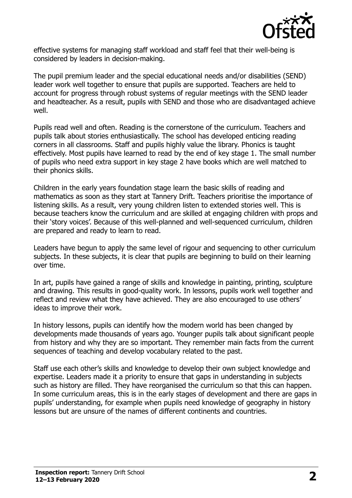

effective systems for managing staff workload and staff feel that their well-being is considered by leaders in decision-making.

The pupil premium leader and the special educational needs and/or disabilities (SEND) leader work well together to ensure that pupils are supported. Teachers are held to account for progress through robust systems of regular meetings with the SEND leader and headteacher. As a result, pupils with SEND and those who are disadvantaged achieve well.

Pupils read well and often. Reading is the cornerstone of the curriculum. Teachers and pupils talk about stories enthusiastically. The school has developed enticing reading corners in all classrooms. Staff and pupils highly value the library. Phonics is taught effectively. Most pupils have learned to read by the end of key stage 1. The small number of pupils who need extra support in key stage 2 have books which are well matched to their phonics skills.

Children in the early years foundation stage learn the basic skills of reading and mathematics as soon as they start at Tannery Drift. Teachers prioritise the importance of listening skills. As a result, very young children listen to extended stories well. This is because teachers know the curriculum and are skilled at engaging children with props and their 'story voices'. Because of this well-planned and well-sequenced curriculum, children are prepared and ready to learn to read.

Leaders have begun to apply the same level of rigour and sequencing to other curriculum subjects. In these subjects, it is clear that pupils are beginning to build on their learning over time.

In art, pupils have gained a range of skills and knowledge in painting, printing, sculpture and drawing. This results in good-quality work. In lessons, pupils work well together and reflect and review what they have achieved. They are also encouraged to use others' ideas to improve their work.

In history lessons, pupils can identify how the modern world has been changed by developments made thousands of years ago. Younger pupils talk about significant people from history and why they are so important. They remember main facts from the current sequences of teaching and develop vocabulary related to the past.

Staff use each other's skills and knowledge to develop their own subject knowledge and expertise. Leaders made it a priority to ensure that gaps in understanding in subjects such as history are filled. They have reorganised the curriculum so that this can happen. In some curriculum areas, this is in the early stages of development and there are gaps in pupils' understanding, for example when pupils need knowledge of geography in history lessons but are unsure of the names of different continents and countries.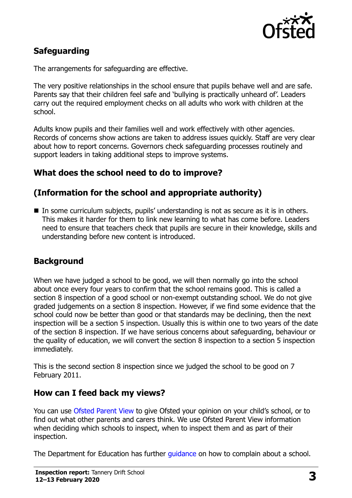

## **Safeguarding**

The arrangements for safeguarding are effective.

The very positive relationships in the school ensure that pupils behave well and are safe. Parents say that their children feel safe and 'bullying is practically unheard of'. Leaders carry out the required employment checks on all adults who work with children at the school.

Adults know pupils and their families well and work effectively with other agencies. Records of concerns show actions are taken to address issues quickly. Staff are very clear about how to report concerns. Governors check safeguarding processes routinely and support leaders in taking additional steps to improve systems.

## **What does the school need to do to improve?**

## **(Information for the school and appropriate authority)**

 In some curriculum subjects, pupils' understanding is not as secure as it is in others. This makes it harder for them to link new learning to what has come before. Leaders need to ensure that teachers check that pupils are secure in their knowledge, skills and understanding before new content is introduced.

### **Background**

When we have judged a school to be good, we will then normally go into the school about once every four years to confirm that the school remains good. This is called a section 8 inspection of a good school or non-exempt outstanding school. We do not give graded judgements on a section 8 inspection. However, if we find some evidence that the school could now be better than good or that standards may be declining, then the next inspection will be a section 5 inspection. Usually this is within one to two years of the date of the section 8 inspection. If we have serious concerns about safeguarding, behaviour or the quality of education, we will convert the section 8 inspection to a section 5 inspection immediately.

This is the second section 8 inspection since we judged the school to be good on 7 February 2011.

### **How can I feed back my views?**

You can use [Ofsted Parent View](https://parentview.ofsted.gov.uk/) to give Ofsted your opinion on your child's school, or to find out what other parents and carers think. We use Ofsted Parent View information when deciding which schools to inspect, when to inspect them and as part of their inspection.

The Department for Education has further quidance on how to complain about a school.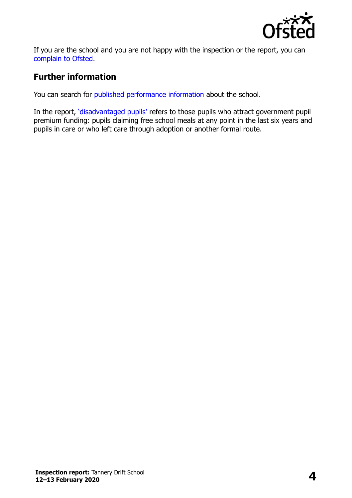

If you are the school and you are not happy with the inspection or the report, you can [complain to Ofsted.](https://www.gov.uk/complain-ofsted-report)

## **Further information**

You can search for [published performance information](http://www.compare-school-performance.service.gov.uk/) about the school.

In the report, '[disadvantaged pupils](http://www.gov.uk/guidance/pupil-premium-information-for-schools-and-alternative-provision-settings)' refers to those pupils who attract government pupil premium funding: pupils claiming free school meals at any point in the last six years and pupils in care or who left care through adoption or another formal route.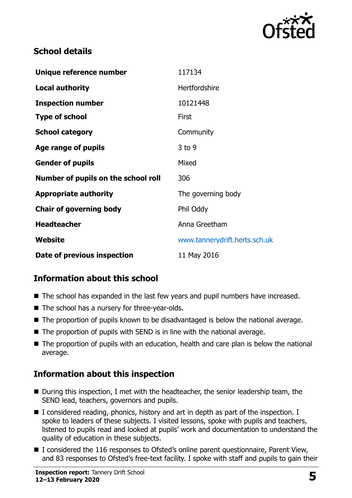

## **School details**

| Unique reference number             | 117134                        |
|-------------------------------------|-------------------------------|
| <b>Local authority</b>              | Hertfordshire                 |
| <b>Inspection number</b>            | 10121448                      |
| <b>Type of school</b>               | First                         |
| <b>School category</b>              | Community                     |
| Age range of pupils                 | $3$ to 9                      |
| <b>Gender of pupils</b>             | Mixed                         |
| Number of pupils on the school roll | 306                           |
| <b>Appropriate authority</b>        | The governing body            |
| <b>Chair of governing body</b>      | Phil Oddy                     |
| <b>Headteacher</b>                  | Anna Greetham                 |
| Website                             | www.tannerydrift.herts.sch.uk |
| Date of previous inspection         | 11 May 2016                   |

## **Information about this school**

- The school has expanded in the last few years and pupil numbers have increased.
- The school has a nursery for three-year-olds.
- The proportion of pupils known to be disadvantaged is below the national average.
- The proportion of pupils with SEND is in line with the national average.
- The proportion of pupils with an education, health and care plan is below the national average.

## **Information about this inspection**

- During this inspection, I met with the headteacher, the senior leadership team, the SEND lead, teachers, governors and pupils.
- I considered reading, phonics, history and art in depth as part of the inspection. I spoke to leaders of these subjects. I visited lessons, spoke with pupils and teachers, listened to pupils read and looked at pupils' work and documentation to understand the quality of education in these subjects.
- I considered the 116 responses to Ofsted's online parent questionnaire, Parent View, and 83 responses to Ofsted's free-text facility. I spoke with staff and pupils to gain their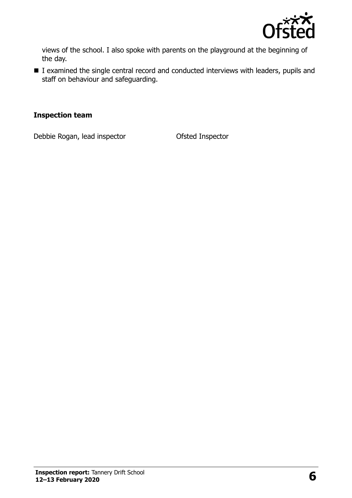

views of the school. I also spoke with parents on the playground at the beginning of the day.

■ I examined the single central record and conducted interviews with leaders, pupils and staff on behaviour and safeguarding.

#### **Inspection team**

Debbie Rogan, lead inspector **Ofsted Inspector**